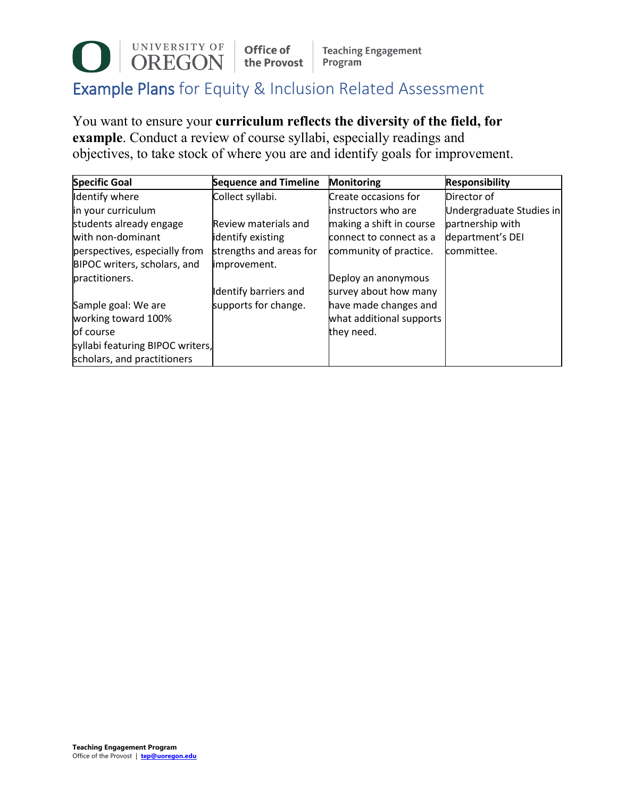## UNIVERSITY OF Office of **Teaching Engagement** the Provost Program Example Plans for Equity & Inclusion Related Assessment

You want to ensure your **curriculum reflects the diversity of the field, for example**. Conduct a review of course syllabi, especially readings and objectives, to take stock of where you are and identify goals for improvement.

| <b>Specific Goal</b>             | <b>Sequence and Timeline</b> | <b>Monitoring</b>        | <b>Responsibility</b>    |
|----------------------------------|------------------------------|--------------------------|--------------------------|
| Identify where                   | Collect syllabi.             | Create occasions for     | Director of              |
| in your curriculum               |                              | instructors who are      | Undergraduate Studies in |
| students already engage          | Review materials and         | making a shift in course | partnership with         |
| with non-dominant                | identify existing            | connect to connect as a  | department's DEI         |
| perspectives, especially from    | strengths and areas for      | community of practice.   | committee.               |
| BIPOC writers, scholars, and     | improvement.                 |                          |                          |
| practitioners.                   |                              | Deploy an anonymous      |                          |
|                                  | Identify barriers and        | survey about how many    |                          |
| Sample goal: We are              | supports for change.         | have made changes and    |                          |
| working toward 100%              |                              | what additional supports |                          |
| of course                        |                              | they need.               |                          |
| syllabi featuring BIPOC writers, |                              |                          |                          |
| scholars, and practitioners      |                              |                          |                          |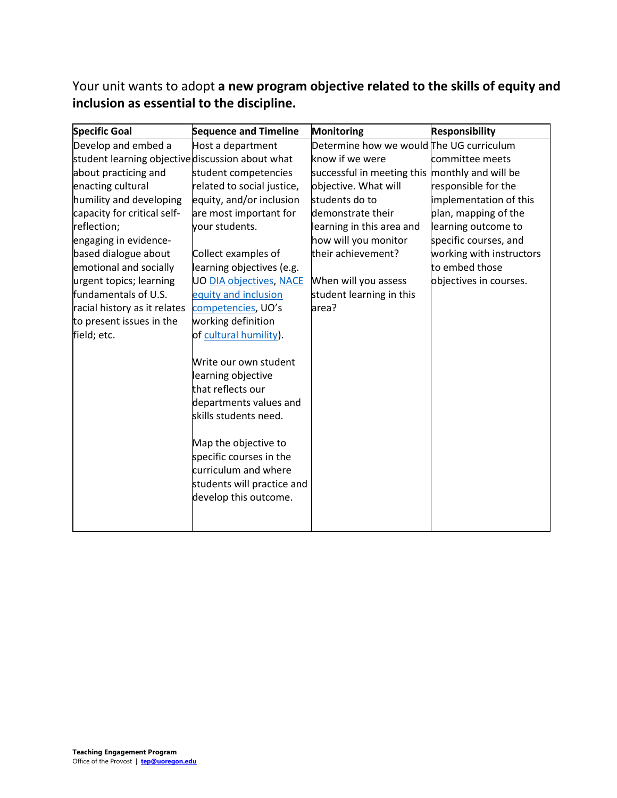Your unit wants to adopt **a new program objective related to the skills of equity and inclusion as essential to the discipline.**

| <b>Specific Goal</b>                             | <b>Sequence and Timeline</b>                    | <b>Monitoring</b>                              | <b>Responsibility</b>    |
|--------------------------------------------------|-------------------------------------------------|------------------------------------------------|--------------------------|
| Develop and embed a                              | Host a department                               | Determine how we would The UG curriculum       |                          |
| student learning objective discussion about what |                                                 | know if we were                                | committee meets          |
| about practicing and                             | student competencies                            | successful in meeting this monthly and will be |                          |
| enacting cultural                                | related to social justice,                      | objective. What will                           | responsible for the      |
| humility and developing                          | equity, and/or inclusion                        | students do to                                 | implementation of this   |
| capacity for critical self-                      | are most important for                          | demonstrate their                              | plan, mapping of the     |
| reflection;                                      | your students.                                  | learning in this area and                      | learning outcome to      |
| engaging in evidence-                            |                                                 | how will you monitor                           | specific courses, and    |
| based dialogue about                             | Collect examples of                             | their achievement?                             | working with instructors |
| emotional and socially                           | learning objectives (e.g.                       |                                                | to embed those           |
| urgent topics; learning                          | <b>UO DIA objectives, NACE</b>                  | When will you assess                           | objectives in courses.   |
| fundamentals of U.S.                             | equity and inclusion                            | student learning in this                       |                          |
| racial history as it relates                     | competencies, UO's                              | area?                                          |                          |
| to present issues in the                         | working definition                              |                                                |                          |
| field; etc.                                      | of cultural humility).                          |                                                |                          |
|                                                  |                                                 |                                                |                          |
|                                                  | Write our own student                           |                                                |                          |
|                                                  | learning objective                              |                                                |                          |
|                                                  | that reflects our                               |                                                |                          |
|                                                  | departments values and                          |                                                |                          |
|                                                  | skills students need.                           |                                                |                          |
|                                                  |                                                 |                                                |                          |
|                                                  | Map the objective to                            |                                                |                          |
|                                                  | specific courses in the<br>curriculum and where |                                                |                          |
|                                                  |                                                 |                                                |                          |
|                                                  | students will practice and                      |                                                |                          |
|                                                  | develop this outcome.                           |                                                |                          |
|                                                  |                                                 |                                                |                          |
|                                                  |                                                 |                                                |                          |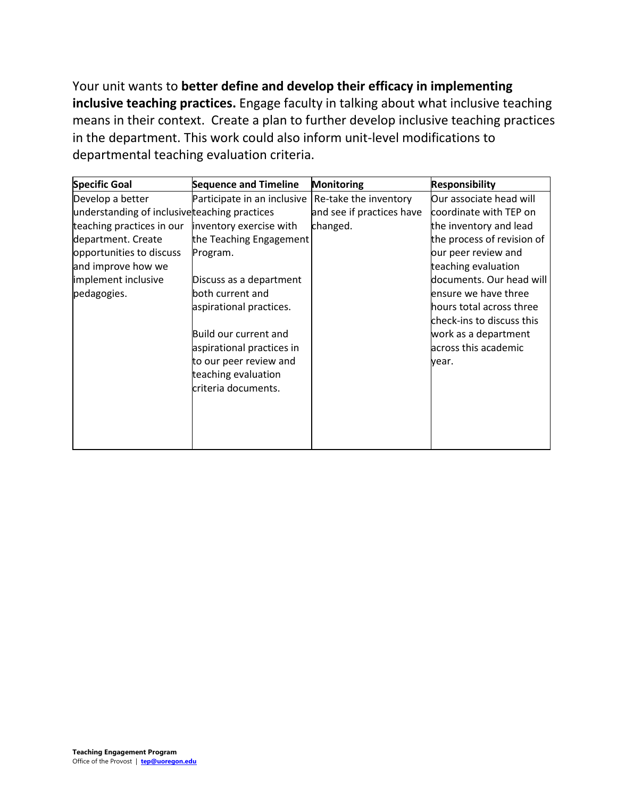Your unit wants to **better define and develop their efficacy in implementing inclusive teaching practices.** Engage faculty in talking about what inclusive teaching means in their context. Create a plan to further develop inclusive teaching practices in the department. This work could also inform unit-level modifications to departmental teaching evaluation criteria.

| <b>Specific Goal</b>                          | <b>Sequence and Timeline</b> | <b>Monitoring</b>         | <b>Responsibility</b>      |
|-----------------------------------------------|------------------------------|---------------------------|----------------------------|
| Develop a better                              | Participate in an inclusive  | Re-take the inventory     | Our associate head will    |
| understanding of inclusive teaching practices |                              | and see if practices have | coordinate with TEP on     |
| teaching practices in our                     | inventory exercise with      | changed.                  | the inventory and lead     |
| department. Create                            | the Teaching Engagement      |                           | the process of revision of |
| opportunities to discuss                      | Program.                     |                           | our peer review and        |
| and improve how we                            |                              |                           | teaching evaluation        |
| implement inclusive                           | Discuss as a department      |                           | documents. Our head will   |
| pedagogies.                                   | both current and             |                           | ensure we have three       |
|                                               | aspirational practices.      |                           | hours total across three   |
|                                               |                              |                           | check-ins to discuss this  |
|                                               | Build our current and        |                           | work as a department       |
|                                               | aspirational practices in    |                           | across this academic       |
|                                               | to our peer review and       |                           | year.                      |
|                                               | teaching evaluation          |                           |                            |
|                                               | criteria documents.          |                           |                            |
|                                               |                              |                           |                            |
|                                               |                              |                           |                            |
|                                               |                              |                           |                            |
|                                               |                              |                           |                            |